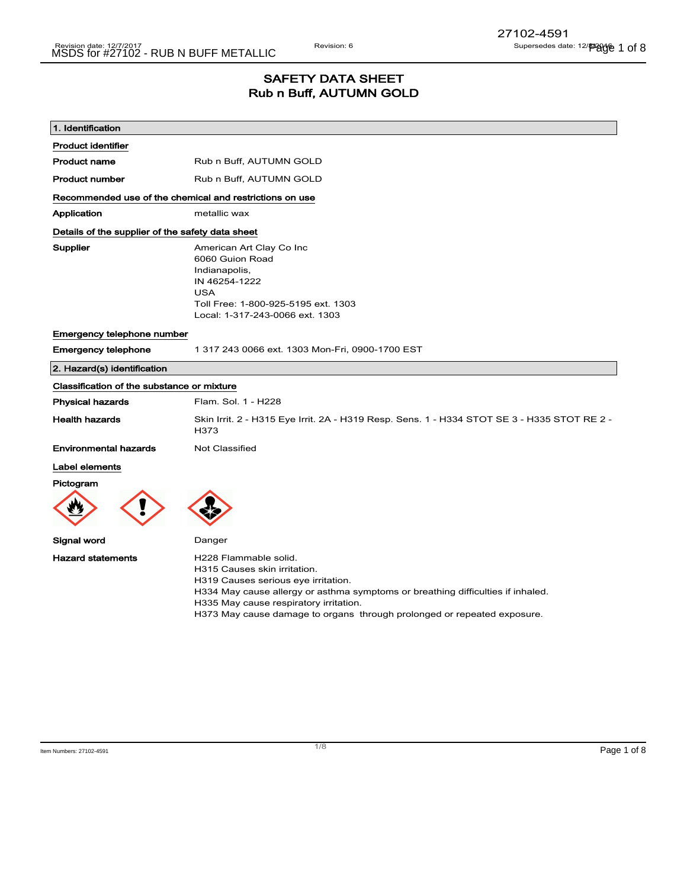### SAFETY DATA SHEET Rub n Buff, AUTUMN GOLD

| 1. Identification                                       |                                                                                                                                                                                                                                                                                                      |
|---------------------------------------------------------|------------------------------------------------------------------------------------------------------------------------------------------------------------------------------------------------------------------------------------------------------------------------------------------------------|
| <b>Product identifier</b>                               |                                                                                                                                                                                                                                                                                                      |
| <b>Product name</b>                                     | Rub n Buff, AUTUMN GOLD                                                                                                                                                                                                                                                                              |
| <b>Product number</b>                                   | Rub n Buff, AUTUMN GOLD                                                                                                                                                                                                                                                                              |
| Recommended use of the chemical and restrictions on use |                                                                                                                                                                                                                                                                                                      |
| Application                                             | metallic wax                                                                                                                                                                                                                                                                                         |
| Details of the supplier of the safety data sheet        |                                                                                                                                                                                                                                                                                                      |
| <b>Supplier</b>                                         | American Art Clay Co Inc<br>6060 Guion Road<br>Indianapolis,<br>IN 46254-1222<br><b>USA</b><br>Toll Free: 1-800-925-5195 ext. 1303<br>Local: 1-317-243-0066 ext. 1303                                                                                                                                |
| Emergency telephone number                              |                                                                                                                                                                                                                                                                                                      |
| <b>Emergency telephone</b>                              | 1 317 243 0066 ext. 1303 Mon-Fri, 0900-1700 EST                                                                                                                                                                                                                                                      |
| 2. Hazard(s) identification                             |                                                                                                                                                                                                                                                                                                      |
| Classification of the substance or mixture              |                                                                                                                                                                                                                                                                                                      |
| <b>Physical hazards</b>                                 | Flam. Sol. 1 - H228                                                                                                                                                                                                                                                                                  |
| <b>Health hazards</b>                                   | Skin Irrit. 2 - H315 Eye Irrit. 2A - H319 Resp. Sens. 1 - H334 STOT SE 3 - H335 STOT RE 2 -<br>H373                                                                                                                                                                                                  |
| <b>Environmental hazards</b>                            | Not Classified                                                                                                                                                                                                                                                                                       |
| Label elements                                          |                                                                                                                                                                                                                                                                                                      |
| Pictogram                                               |                                                                                                                                                                                                                                                                                                      |
|                                                         |                                                                                                                                                                                                                                                                                                      |
| Signal word                                             | Danger                                                                                                                                                                                                                                                                                               |
| <b>Hazard statements</b>                                | H228 Flammable solid.<br>H315 Causes skin irritation.<br>H319 Causes serious eye irritation.<br>H334 May cause allergy or asthma symptoms or breathing difficulties if inhaled.<br>H335 May cause respiratory irritation.<br>H373 May cause damage to organs through prolonged or repeated exposure. |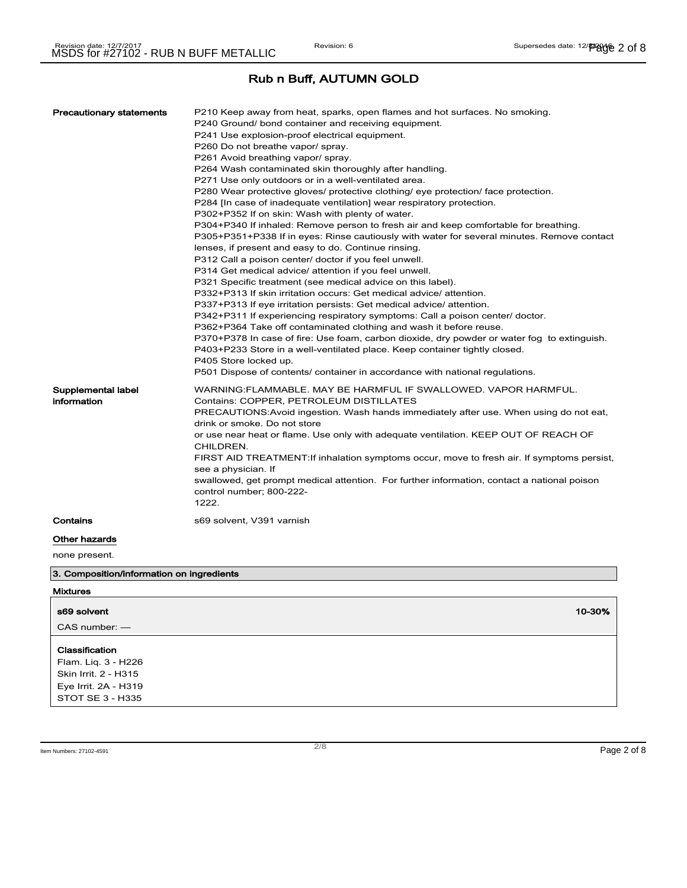| WARNING: FLAMMABLE. MAY BE HARMFUL IF SWALLOWED. VAPOR HARMFUL.<br>Supplemental label<br>information<br>Contains: COPPER, PETROLEUM DISTILLATES<br>PRECAUTIONS: Avoid ingestion. Wash hands immediately after use. When using do not eat,<br>drink or smoke. Do not store<br>or use near heat or flame. Use only with adequate ventilation. KEEP OUT OF REACH OF<br>CHILDREN.<br>FIRST AID TREATMENT: If inhalation symptoms occur, move to fresh air. If symptoms persist,<br>see a physician. If<br>swallowed, get prompt medical attention. For further information, contact a national poison<br>control number; 800-222-<br>1222.<br>Contains<br>s69 solvent, V391 varnish<br>Other hazards | <b>Precautionary statements</b> | P210 Keep away from heat, sparks, open flames and hot surfaces. No smoking.<br>P240 Ground/ bond container and receiving equipment.<br>P241 Use explosion-proof electrical equipment.<br>P260 Do not breathe vapor/ spray.<br>P261 Avoid breathing vapor/ spray.<br>P264 Wash contaminated skin thoroughly after handling.<br>P271 Use only outdoors or in a well-ventilated area.<br>P280 Wear protective gloves/ protective clothing/ eye protection/ face protection.<br>P284 [In case of inadequate ventilation] wear respiratory protection.<br>P302+P352 If on skin: Wash with plenty of water.<br>P304+P340 If inhaled: Remove person to fresh air and keep comfortable for breathing.<br>P305+P351+P338 If in eyes: Rinse cautiously with water for several minutes. Remove contact<br>lenses, if present and easy to do. Continue rinsing.<br>P312 Call a poison center/ doctor if you feel unwell.<br>P314 Get medical advice/ attention if you feel unwell.<br>P321 Specific treatment (see medical advice on this label).<br>P332+P313 If skin irritation occurs: Get medical advice/ attention.<br>P337+P313 If eye irritation persists: Get medical advice/ attention.<br>P342+P311 If experiencing respiratory symptoms: Call a poison center/ doctor.<br>P362+P364 Take off contaminated clothing and wash it before reuse.<br>P370+P378 In case of fire: Use foam, carbon dioxide, dry powder or water fog to extinguish.<br>P403+P233 Store in a well-ventilated place. Keep container tightly closed.<br>P405 Store locked up.<br>P501 Dispose of contents/ container in accordance with national regulations. |
|--------------------------------------------------------------------------------------------------------------------------------------------------------------------------------------------------------------------------------------------------------------------------------------------------------------------------------------------------------------------------------------------------------------------------------------------------------------------------------------------------------------------------------------------------------------------------------------------------------------------------------------------------------------------------------------------------|---------------------------------|-----------------------------------------------------------------------------------------------------------------------------------------------------------------------------------------------------------------------------------------------------------------------------------------------------------------------------------------------------------------------------------------------------------------------------------------------------------------------------------------------------------------------------------------------------------------------------------------------------------------------------------------------------------------------------------------------------------------------------------------------------------------------------------------------------------------------------------------------------------------------------------------------------------------------------------------------------------------------------------------------------------------------------------------------------------------------------------------------------------------------------------------------------------------------------------------------------------------------------------------------------------------------------------------------------------------------------------------------------------------------------------------------------------------------------------------------------------------------------------------------------------------------------------------------------------------------------------------------------------------------------------|
|                                                                                                                                                                                                                                                                                                                                                                                                                                                                                                                                                                                                                                                                                                  |                                 |                                                                                                                                                                                                                                                                                                                                                                                                                                                                                                                                                                                                                                                                                                                                                                                                                                                                                                                                                                                                                                                                                                                                                                                                                                                                                                                                                                                                                                                                                                                                                                                                                                   |
|                                                                                                                                                                                                                                                                                                                                                                                                                                                                                                                                                                                                                                                                                                  |                                 |                                                                                                                                                                                                                                                                                                                                                                                                                                                                                                                                                                                                                                                                                                                                                                                                                                                                                                                                                                                                                                                                                                                                                                                                                                                                                                                                                                                                                                                                                                                                                                                                                                   |
|                                                                                                                                                                                                                                                                                                                                                                                                                                                                                                                                                                                                                                                                                                  |                                 |                                                                                                                                                                                                                                                                                                                                                                                                                                                                                                                                                                                                                                                                                                                                                                                                                                                                                                                                                                                                                                                                                                                                                                                                                                                                                                                                                                                                                                                                                                                                                                                                                                   |

none present.

3. Composition/information on ingredients

| <b>Mixtures</b>                                                                                           |        |
|-----------------------------------------------------------------------------------------------------------|--------|
| s69 solvent                                                                                               | 10-30% |
| $CAS$ number: $-$                                                                                         |        |
| Classification<br>Flam. Liq. 3 - H226<br>Skin Irrit. 2 - H315<br>Eye Irrit. 2A - H319<br>STOT SE 3 - H335 |        |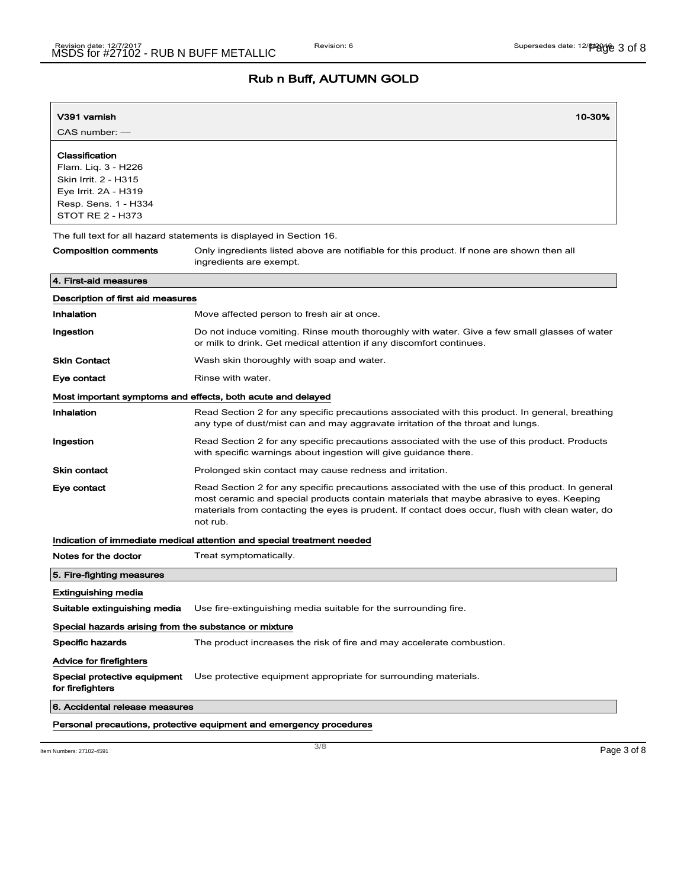| V391 varnish                                                                                                                             | 10-30%                                                                                                                                                                                                                                                                                                      |  |
|------------------------------------------------------------------------------------------------------------------------------------------|-------------------------------------------------------------------------------------------------------------------------------------------------------------------------------------------------------------------------------------------------------------------------------------------------------------|--|
| CAS number: -                                                                                                                            |                                                                                                                                                                                                                                                                                                             |  |
| Classification<br>Flam. Lig. 3 - H226<br>Skin Irrit. 2 - H315<br>Eye Irrit. 2A - H319<br>Resp. Sens. 1 - H334<br><b>STOT RE 2 - H373</b> |                                                                                                                                                                                                                                                                                                             |  |
|                                                                                                                                          | The full text for all hazard statements is displayed in Section 16.                                                                                                                                                                                                                                         |  |
| Composition comments                                                                                                                     | Only ingredients listed above are notifiable for this product. If none are shown then all<br>ingredients are exempt.                                                                                                                                                                                        |  |
| 4. First-aid measures                                                                                                                    |                                                                                                                                                                                                                                                                                                             |  |
| Description of first aid measures                                                                                                        |                                                                                                                                                                                                                                                                                                             |  |
| Inhalation                                                                                                                               | Move affected person to fresh air at once.                                                                                                                                                                                                                                                                  |  |
| Ingestion                                                                                                                                | Do not induce vomiting. Rinse mouth thoroughly with water. Give a few small glasses of water<br>or milk to drink. Get medical attention if any discomfort continues.                                                                                                                                        |  |
| <b>Skin Contact</b>                                                                                                                      | Wash skin thoroughly with soap and water.                                                                                                                                                                                                                                                                   |  |
| Eye contact                                                                                                                              | Rinse with water.                                                                                                                                                                                                                                                                                           |  |
|                                                                                                                                          | Most important symptoms and effects, both acute and delayed                                                                                                                                                                                                                                                 |  |
| Inhalation                                                                                                                               | Read Section 2 for any specific precautions associated with this product. In general, breathing<br>any type of dust/mist can and may aggravate irritation of the throat and lungs.                                                                                                                          |  |
| Ingestion                                                                                                                                | Read Section 2 for any specific precautions associated with the use of this product. Products<br>with specific warnings about ingestion will give guidance there.                                                                                                                                           |  |
| <b>Skin contact</b>                                                                                                                      | Prolonged skin contact may cause redness and irritation.                                                                                                                                                                                                                                                    |  |
| Eye contact                                                                                                                              | Read Section 2 for any specific precautions associated with the use of this product. In general<br>most ceramic and special products contain materials that maybe abrasive to eyes. Keeping<br>materials from contacting the eyes is prudent. If contact does occur, flush with clean water, do<br>not rub. |  |
|                                                                                                                                          | Indication of immediate medical attention and special treatment needed                                                                                                                                                                                                                                      |  |
| Notes for the doctor                                                                                                                     | Treat symptomatically.                                                                                                                                                                                                                                                                                      |  |
| 5. Fire-fighting measures                                                                                                                |                                                                                                                                                                                                                                                                                                             |  |
| Extinguishing media                                                                                                                      |                                                                                                                                                                                                                                                                                                             |  |
| Suitable extinguishing media                                                                                                             | Use fire-extinguishing media suitable for the surrounding fire.                                                                                                                                                                                                                                             |  |
| Special hazards arising from the substance or mixture                                                                                    |                                                                                                                                                                                                                                                                                                             |  |
| Specific hazards                                                                                                                         | The product increases the risk of fire and may accelerate combustion.                                                                                                                                                                                                                                       |  |
| Advice for firefighters                                                                                                                  |                                                                                                                                                                                                                                                                                                             |  |
| for firefighters                                                                                                                         | Special protective equipment Use protective equipment appropriate for surrounding materials.                                                                                                                                                                                                                |  |
| 6. Accidental release measures                                                                                                           |                                                                                                                                                                                                                                                                                                             |  |
|                                                                                                                                          | Personal precautions, protective equipment and emergency procedures                                                                                                                                                                                                                                         |  |

Item Numbers: 27102-4591 **Page 3 of 8**  $\frac{3}{8}$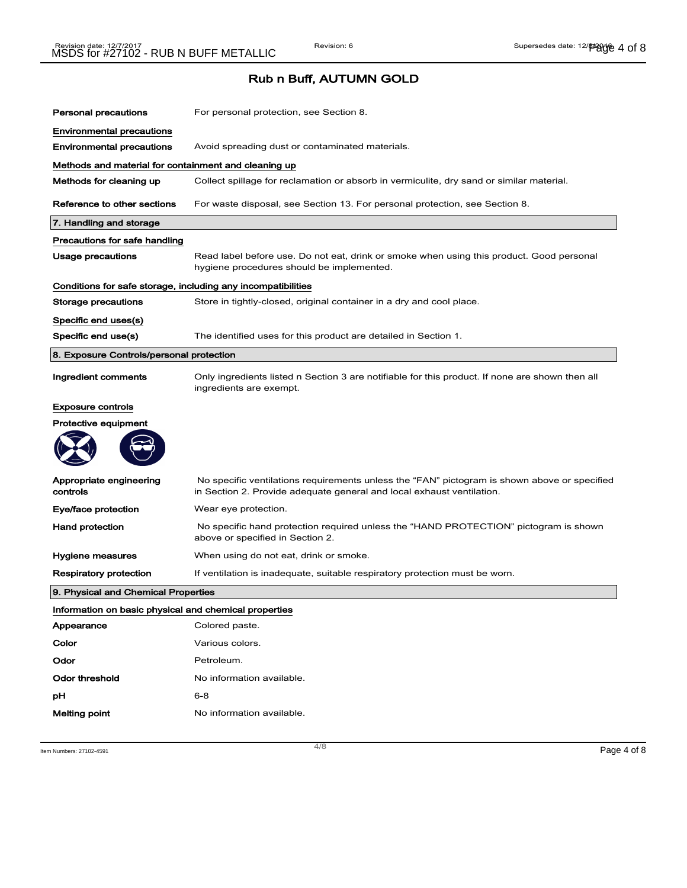| <b>Personal precautions</b>                                  | For personal protection, see Section 8.                                                                                                                               |
|--------------------------------------------------------------|-----------------------------------------------------------------------------------------------------------------------------------------------------------------------|
| <b>Environmental precautions</b>                             |                                                                                                                                                                       |
| <b>Environmental precautions</b>                             | Avoid spreading dust or contaminated materials.                                                                                                                       |
| Methods and material for containment and cleaning up         |                                                                                                                                                                       |
| Methods for cleaning up                                      | Collect spillage for reclamation or absorb in vermiculite, dry sand or similar material.                                                                              |
| Reference to other sections                                  | For waste disposal, see Section 13. For personal protection, see Section 8.                                                                                           |
| 7. Handling and storage                                      |                                                                                                                                                                       |
| Precautions for safe handling                                |                                                                                                                                                                       |
| <b>Usage precautions</b>                                     | Read label before use. Do not eat, drink or smoke when using this product. Good personal<br>hygiene procedures should be implemented.                                 |
| Conditions for safe storage, including any incompatibilities |                                                                                                                                                                       |
| Storage precautions                                          | Store in tightly-closed, original container in a dry and cool place.                                                                                                  |
| Specific end uses(s)                                         |                                                                                                                                                                       |
| Specific end use(s)                                          | The identified uses for this product are detailed in Section 1.                                                                                                       |
| 8. Exposure Controls/personal protection                     |                                                                                                                                                                       |
| Ingredient comments                                          | Only ingredients listed n Section 3 are notifiable for this product. If none are shown then all<br>ingredients are exempt.                                            |
| <b>Exposure controls</b>                                     |                                                                                                                                                                       |
| <b>Protective equipment</b>                                  |                                                                                                                                                                       |
|                                                              |                                                                                                                                                                       |
| Appropriate engineering<br>controls                          | No specific ventilations requirements unless the "FAN" pictogram is shown above or specified<br>in Section 2. Provide adequate general and local exhaust ventilation. |
| Eye/face protection                                          | Wear eye protection.                                                                                                                                                  |
| <b>Hand protection</b>                                       | No specific hand protection required unless the "HAND PROTECTION" pictogram is shown<br>above or specified in Section 2.                                              |
| Hygiene measures                                             | When using do not eat, drink or smoke.                                                                                                                                |
| Respiratory protection                                       | If ventilation is inadequate, suitable respiratory protection must be worn.                                                                                           |
| 9. Physical and Chemical Properties                          |                                                                                                                                                                       |
| Information on basic physical and chemical properties        |                                                                                                                                                                       |
| Appearance                                                   | Colored paste.                                                                                                                                                        |
| Color                                                        | Various colors.                                                                                                                                                       |
| Odor                                                         | Petroleum.                                                                                                                                                            |
| <b>Odor threshold</b>                                        | No information available.                                                                                                                                             |
| pН                                                           | $6 - 8$                                                                                                                                                               |
| Melting point                                                | No information available.                                                                                                                                             |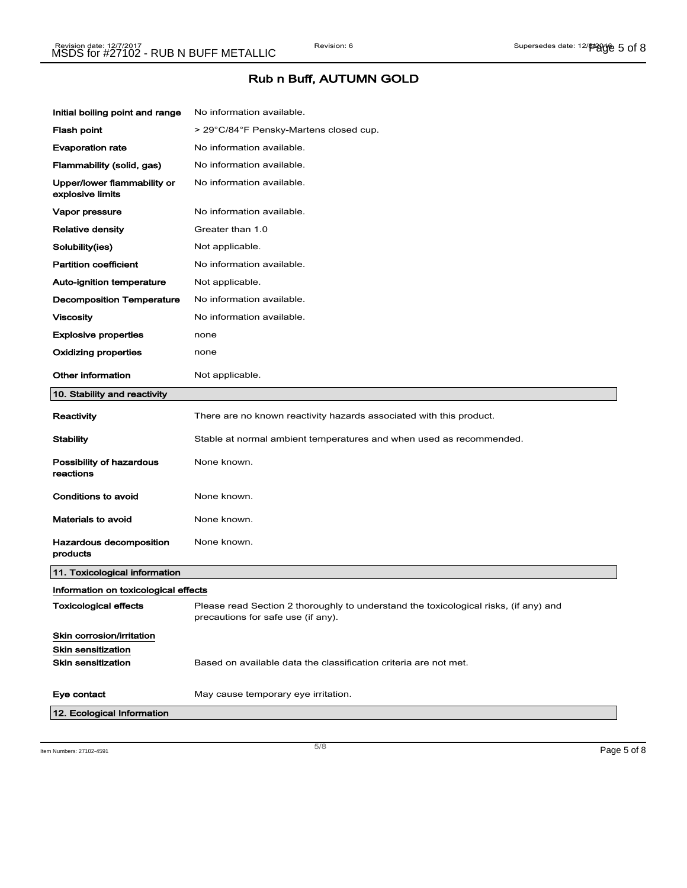| Initial boiling point and range                 | No information available.                                                                                                  |
|-------------------------------------------------|----------------------------------------------------------------------------------------------------------------------------|
| <b>Flash point</b>                              | > 29°C/84°F Pensky-Martens closed cup.                                                                                     |
| <b>Evaporation rate</b>                         | No information available.                                                                                                  |
| Flammability (solid, gas)                       | No information available.                                                                                                  |
| Upper/lower flammability or<br>explosive limits | No information available.                                                                                                  |
| Vapor pressure                                  | No information available.                                                                                                  |
| <b>Relative density</b>                         | Greater than 1.0                                                                                                           |
| Solubility(ies)                                 | Not applicable.                                                                                                            |
| <b>Partition coefficient</b>                    | No information available.                                                                                                  |
| Auto-ignition temperature                       | Not applicable.                                                                                                            |
| <b>Decomposition Temperature</b>                | No information available.                                                                                                  |
| <b>Viscosity</b>                                | No information available.                                                                                                  |
| <b>Explosive properties</b>                     | none                                                                                                                       |
| Oxidizing properties                            | none                                                                                                                       |
| <b>Other information</b>                        | Not applicable.                                                                                                            |
| 10. Stability and reactivity                    |                                                                                                                            |
| Reactivity                                      | There are no known reactivity hazards associated with this product.                                                        |
| Stability                                       | Stable at normal ambient temperatures and when used as recommended.                                                        |
| Possibility of hazardous<br>reactions           | None known.                                                                                                                |
| <b>Conditions to avoid</b>                      | None known.                                                                                                                |
| <b>Materials to avoid</b>                       | None known.                                                                                                                |
| Hazardous decomposition<br>products             | None known.                                                                                                                |
| 11. Toxicological information                   |                                                                                                                            |
| Information on toxicological effects            |                                                                                                                            |
| Toxicological effects                           | Please read Section 2 thoroughly to understand the toxicological risks, (if any) and<br>precautions for safe use (if any). |
| Skin corrosion/irritation                       |                                                                                                                            |
| <b>Skin sensitization</b>                       |                                                                                                                            |
| <b>Skin sensitization</b>                       | Based on available data the classification criteria are not met.                                                           |
| Eye contact                                     | May cause temporary eye irritation.                                                                                        |
| 12. Ecological Information                      |                                                                                                                            |
|                                                 |                                                                                                                            |

Item Numbers: 27102-4591 **Page 5 of 8**  $\overline{5/8}$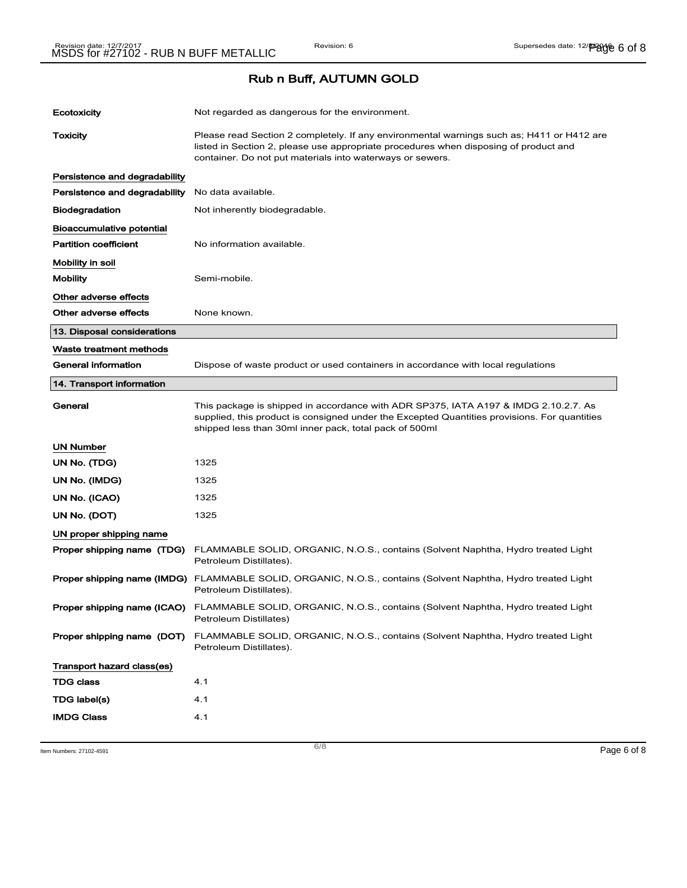| Ecotoxicity                      | Not regarded as dangerous for the environment.                                                                                                                                                                                                 |
|----------------------------------|------------------------------------------------------------------------------------------------------------------------------------------------------------------------------------------------------------------------------------------------|
| <b>Toxicity</b>                  | Please read Section 2 completely. If any environmental warnings such as; H411 or H412 are<br>listed in Section 2, please use appropriate procedures when disposing of product and<br>container. Do not put materials into waterways or sewers. |
| Persistence and degradability    |                                                                                                                                                                                                                                                |
| Persistence and degradability    | No data available.                                                                                                                                                                                                                             |
| <b>Biodegradation</b>            | Not inherently biodegradable.                                                                                                                                                                                                                  |
| <b>Bioaccumulative potential</b> |                                                                                                                                                                                                                                                |
| <b>Partition coefficient</b>     | No information available.                                                                                                                                                                                                                      |
| Mobility in soil                 |                                                                                                                                                                                                                                                |
| <b>Mobility</b>                  | Semi-mobile.                                                                                                                                                                                                                                   |
| Other adverse effects            |                                                                                                                                                                                                                                                |
| Other adverse effects            | None known.                                                                                                                                                                                                                                    |
| 13. Disposal considerations      |                                                                                                                                                                                                                                                |
| Waste treatment methods          |                                                                                                                                                                                                                                                |
| <b>General information</b>       | Dispose of waste product or used containers in accordance with local regulations                                                                                                                                                               |
| 14. Transport information        |                                                                                                                                                                                                                                                |
| General                          | This package is shipped in accordance with ADR SP375, IATA A197 & IMDG 2.10.2.7. As<br>supplied, this product is consigned under the Excepted Quantities provisions. For quantities<br>shipped less than 30ml inner pack, total pack of 500ml  |
| UN Number                        |                                                                                                                                                                                                                                                |
| UN No. (TDG)                     | 1325                                                                                                                                                                                                                                           |
| UN No. (IMDG)                    | 1325                                                                                                                                                                                                                                           |
| UN No. (ICAO)                    | 1325                                                                                                                                                                                                                                           |
| UN No. (DOT)                     | 1325                                                                                                                                                                                                                                           |
| UN proper shipping name          |                                                                                                                                                                                                                                                |
| Proper shipping name (TDG)       | FLAMMABLE SOLID, ORGANIC, N.O.S., contains (Solvent Naphtha, Hydro treated Light<br>Petroleum Distillates).                                                                                                                                    |
|                                  | Proper shipping name (IMDG) FLAMMABLE SOLID, ORGANIC, N.O.S., contains (Solvent Naphtha, Hydro treated Light<br>Petroleum Distillates).                                                                                                        |
|                                  | Proper shipping name (ICAO) FLAMMABLE SOLID, ORGANIC, N.O.S., contains (Solvent Naphtha, Hydro treated Light<br>Petroleum Distillates)                                                                                                         |
| Proper shipping name (DOT)       | FLAMMABLE SOLID, ORGANIC, N.O.S., contains (Solvent Naphtha, Hydro treated Light<br>Petroleum Distillates).                                                                                                                                    |
| Transport hazard class(es)       |                                                                                                                                                                                                                                                |
| <b>TDG class</b>                 | 4.1                                                                                                                                                                                                                                            |
| TDG label(s)                     | 4.1                                                                                                                                                                                                                                            |
| <b>IMDG Class</b>                | 4.1                                                                                                                                                                                                                                            |

Item Numbers: 27102-4591 **Page 6 of 8**  $\overline{6/8}$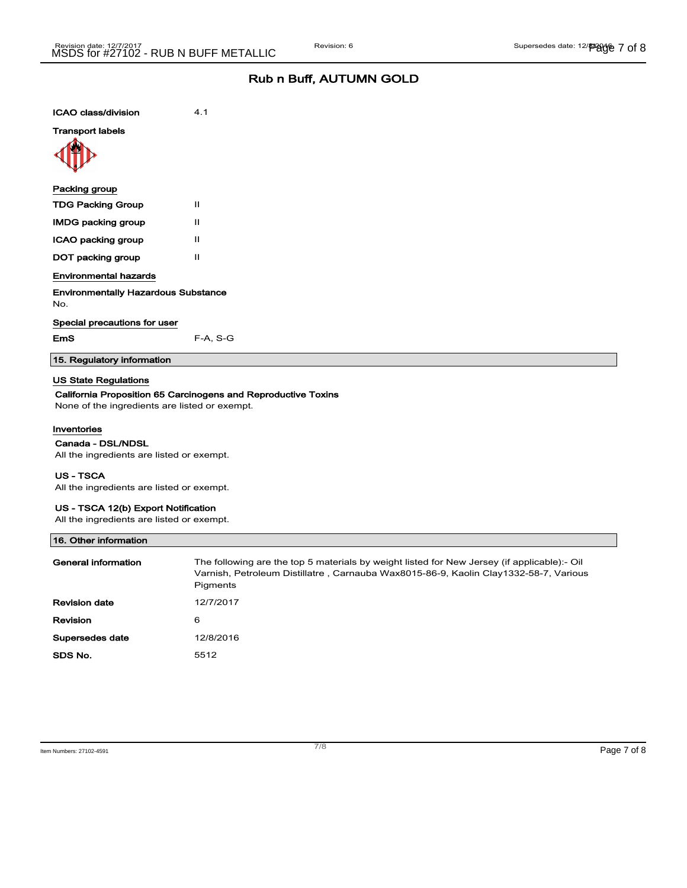| <b>ICAO class/division</b>                        | 4.1          |
|---------------------------------------------------|--------------|
| <b>Transport labels</b>                           |              |
|                                                   |              |
| Packing group                                     |              |
| <b>TDG Packing Group</b>                          | Ш            |
| <b>IMDG packing group</b>                         | $\mathbf{I}$ |
| ICAO packing group                                | Ш            |
| DOT packing group                                 | $\mathbf{I}$ |
| <b>Environmental hazards</b>                      |              |
| <b>Environmentally Hazardous Substance</b><br>No. |              |
| Special precautions for user                      |              |
| <b>EmS</b>                                        | $F-A, S-G$   |
| 15. Regulatory information                        |              |
|                                                   |              |

#### US State Regulations

### California Proposition 65 Carcinogens and Reproductive Toxins

None of the ingredients are listed or exempt.

#### Inventories

#### Canada - DSL/NDSL

All the ingredients are listed or exempt.

#### US - TSCA

All the ingredients are listed or exempt.

#### US - TSCA 12(b) Export Notification

All the ingredients are listed or exempt.

| 16. Other information |                                                                                                                                                                                                 |
|-----------------------|-------------------------------------------------------------------------------------------------------------------------------------------------------------------------------------------------|
| General information   | The following are the top 5 materials by weight listed for New Jersey (if applicable):- Oil<br>Varnish, Petroleum Distillatre, Carnauba Wax8015-86-9, Kaolin Clay1332-58-7, Various<br>Pigments |
| <b>Revision date</b>  | 12/7/2017                                                                                                                                                                                       |
| Revision              | 6                                                                                                                                                                                               |
| Supersedes date       | 12/8/2016                                                                                                                                                                                       |
| SDS No.               | 5512                                                                                                                                                                                            |